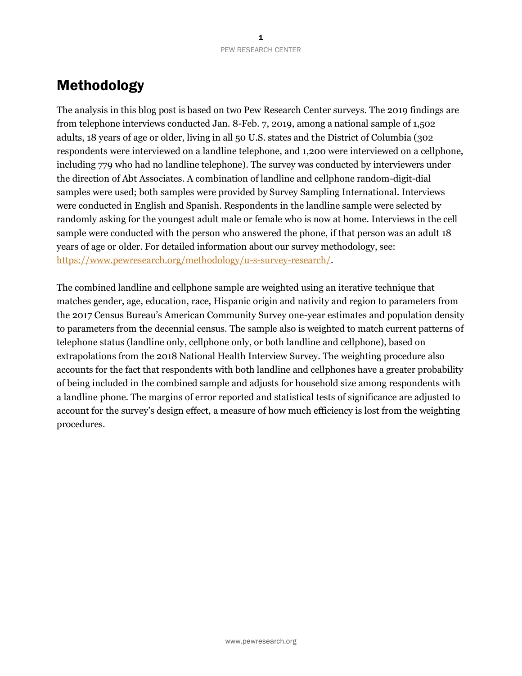## Methodology

The analysis in this blog post is based on two Pew Research Center surveys. The 2019 findings are from telephone interviews conducted Jan. 8-Feb. 7, 2019, among a national sample of 1,502 adults, 18 years of age or older, living in all 50 U.S. states and the District of Columbia (302 respondents were interviewed on a landline telephone, and 1,200 were interviewed on a cellphone, including 779 who had no landline telephone). The survey was conducted by interviewers under the direction of Abt Associates. A combination of landline and cellphone random-digit-dial samples were used; both samples were provided by Survey Sampling International. Interviews were conducted in English and Spanish. Respondents in the landline sample were selected by randomly asking for the youngest adult male or female who is now at home. Interviews in the cell sample were conducted with the person who answered the phone, if that person was an adult 18 years of age or older. For detailed information about our survey methodology, see: [https://www.pewresearch.org/methodology/u-s-survey-research/.](https://www.pewresearch.org/methodology/u-s-survey-research/)

The combined landline and cellphone sample are weighted using an iterative technique that matches gender, age, education, race, Hispanic origin and nativity and region to parameters from the 2017 Census Bureau's American Community Survey one-year estimates and population density to parameters from the decennial census. The sample also is weighted to match current patterns of telephone status (landline only, cellphone only, or both landline and cellphone), based on extrapolations from the 2018 National Health Interview Survey. The weighting procedure also accounts for the fact that respondents with both landline and cellphones have a greater probability of being included in the combined sample and adjusts for household size among respondents with a landline phone. The margins of error reported and statistical tests of significance are adjusted to account for the survey's design effect, a measure of how much efficiency is lost from the weighting procedures.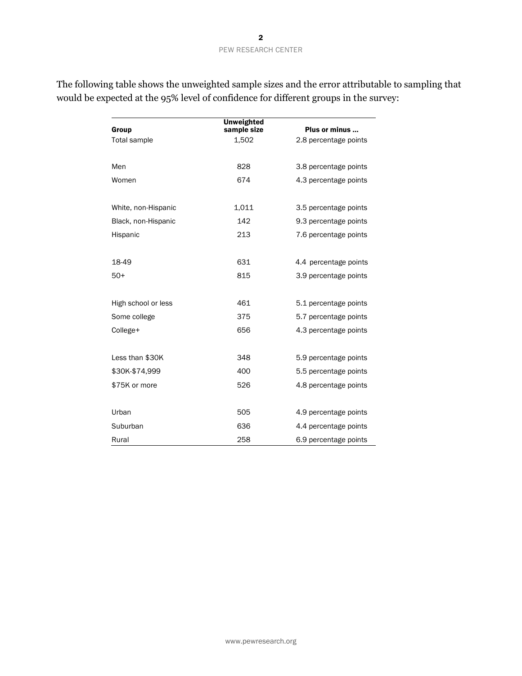| Group               | <b>Unweighted</b><br>sample size | Plus or minus<br>2.8 percentage points |  |  |  |
|---------------------|----------------------------------|----------------------------------------|--|--|--|
| <b>Total sample</b> | 1,502                            |                                        |  |  |  |
|                     |                                  |                                        |  |  |  |
| Men                 | 828                              | 3.8 percentage points                  |  |  |  |
| Women               | 674                              | 4.3 percentage points                  |  |  |  |
|                     |                                  |                                        |  |  |  |
| White, non-Hispanic | 1,011                            | 3.5 percentage points                  |  |  |  |
| Black, non-Hispanic | 142                              | 9.3 percentage points                  |  |  |  |
| Hispanic            | 213                              | 7.6 percentage points                  |  |  |  |
|                     |                                  |                                        |  |  |  |
| 18-49               | 631                              | 4.4 percentage points                  |  |  |  |
| $50+$               | 815                              | 3.9 percentage points                  |  |  |  |
|                     |                                  |                                        |  |  |  |
| High school or less | 461                              | 5.1 percentage points                  |  |  |  |
| Some college        | 375                              | 5.7 percentage points                  |  |  |  |
| College+            | 656                              | 4.3 percentage points                  |  |  |  |
|                     |                                  |                                        |  |  |  |
| Less than \$30K     | 348                              | 5.9 percentage points                  |  |  |  |
| \$30K-\$74,999      | 400                              | 5.5 percentage points                  |  |  |  |
| \$75K or more       | 526                              | 4.8 percentage points                  |  |  |  |
|                     |                                  |                                        |  |  |  |
| Urban               | 505                              | 4.9 percentage points                  |  |  |  |
| Suburban            | 636                              | 4.4 percentage points                  |  |  |  |
| Rural               | 258                              | 6.9 percentage points                  |  |  |  |

The following table shows the unweighted sample sizes and the error attributable to sampling that would be expected at the 95% level of confidence for different groups in the survey: